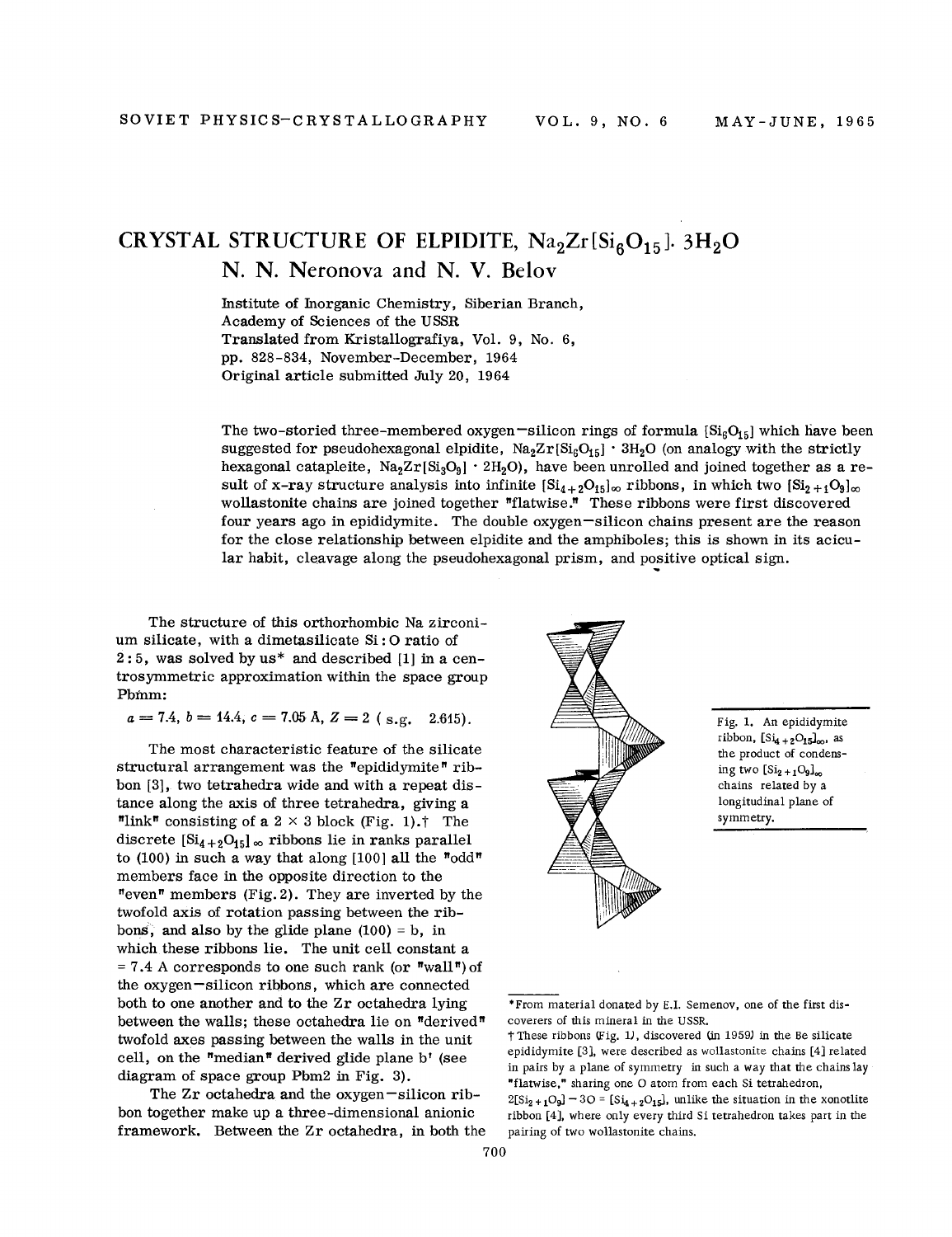## **CRYSTAL STRUCTURE OF ELPIDITE,**  $\text{Na}_2\text{Zr}\text{[Si}_6\text{O}_{15}$ **].**  $3\text{H}_2\text{O}$ N. N. Neronova and N. V. Belov

Institute of Inorganic Chemistry, Siberian Branch, Academy of Sciences of the USSR Translated from Kristallografiya, Vol. 9, No.6, pp. 828-834, November-December, 1964 Original article submitted July 20, 1964

The two-storied three-membered oxygen -silicon rings of formula  $[Si_6O_{15}]$  which have been suggested for pseudohexagonal elpidite,  $Na_2Zr[Si_6O_{15}] \cdot 3H_2O$  (on analogy with the strictly hexagonal catapleite,  $\text{Na}_2\text{Zr}\text{[Si}_3\text{O}_9] \cdot 2\text{H}_2\text{O}$ , have been unrolled and joined together as a result of x-ray structure analysis into infinite  $[Si_{4+2}O_{15}]_{\infty}$  ribbons, in which two  $[Si_{2+1}O_{9}]_{\infty}$ wollastonite chains are joined together "flatwise." These ribbons were first discovered four years ago in epididymite. The double oxygen-silicon chains present are the reason for the close relationship between elpidite and the amphiboles; this is shown in its acicular habit, cleavage along the pseudohexagonal prism, and positive optical sign.

The structure of this orthorhombic Na zirconium silicate, with a dimetasilicate  $\mathrm{Si}\text{ : } \mathrm{O}\text{ ratio of}$  $2:5$ , was solved by us\* and described [1] in a centrosymmetric approximation within the space group Pbinm:

 $a = 7.4, b = 14.4, c = 7.05 \text{ Å}, Z = 2 \text{ (s.g. } 2.615).$ 

The most characteristic feature of the silicate structural arrangement was the "epididymite" ribbon [3], two tetrahedra wide and with a repeat distance along the axis of three tetrahedra, giving a "link" consisting of a  $2 \times 3$  block (Fig. 1).<sup>†</sup> The discrete  $[Si_{4+2}O_{15}]_{\infty}$  ribbons lie in ranks parallel to (100) in such a way that along [100] all the "odd" members face in the opposite direction to the "even" members (Fig. 2). They are inverted by the twofold axis of rotation passing between the ribbons, and also by the glide plane  $(100) = b$ , in which these ribbons lie. The unit cell constant a  $= 7.4$  A corresponds to one such rank (or "wall") of the oxygen-silicon ribbons, which are connected both to one another and to the Zr octahedra lying between the walls; these octahedra lie on "derived" twofold axes passing between the walls in the unit cell, on the "median" derived glide plane b' (see diagram of space group Pbm2 in Fig. 3).

The  $Zr$  octahedra and the oxygen  $-silicon$  ribbon together make up a three-dimensional anionic framework. Between the Zr octahedra, in both the



Fig. 1. An epididymite ribbon,  $[Si<sub>4</sub>+2O<sub>15</sub>]<sub>\infty</sub>$ , as the product of condensing two  $[Si_2+1O_9]_{\infty}$ chains related by a longitudinal plane of symmetry.

·From material donated by E.1. Semenov, one of the first discoverers of this mineral in the USSR.

t These ribbons (Fig. 1), discovered (in 1959) in the Be silicate epididymite [3], were described as wollastonite chains [4] related in pairs by a plane of symmetry in such a way that the chains lay "flatwise," sharing one O atom from each Si tetrahedron  $2[\text{Si}_{2+1}\text{O}_9] - 3\text{O} = [\text{Si}_{4+2}\text{O}_{15}]$ , unlike the situation in the xonotlit ribbon [4], where only every third Si tetrahedron takes part in the pairing of two wollastonite chains.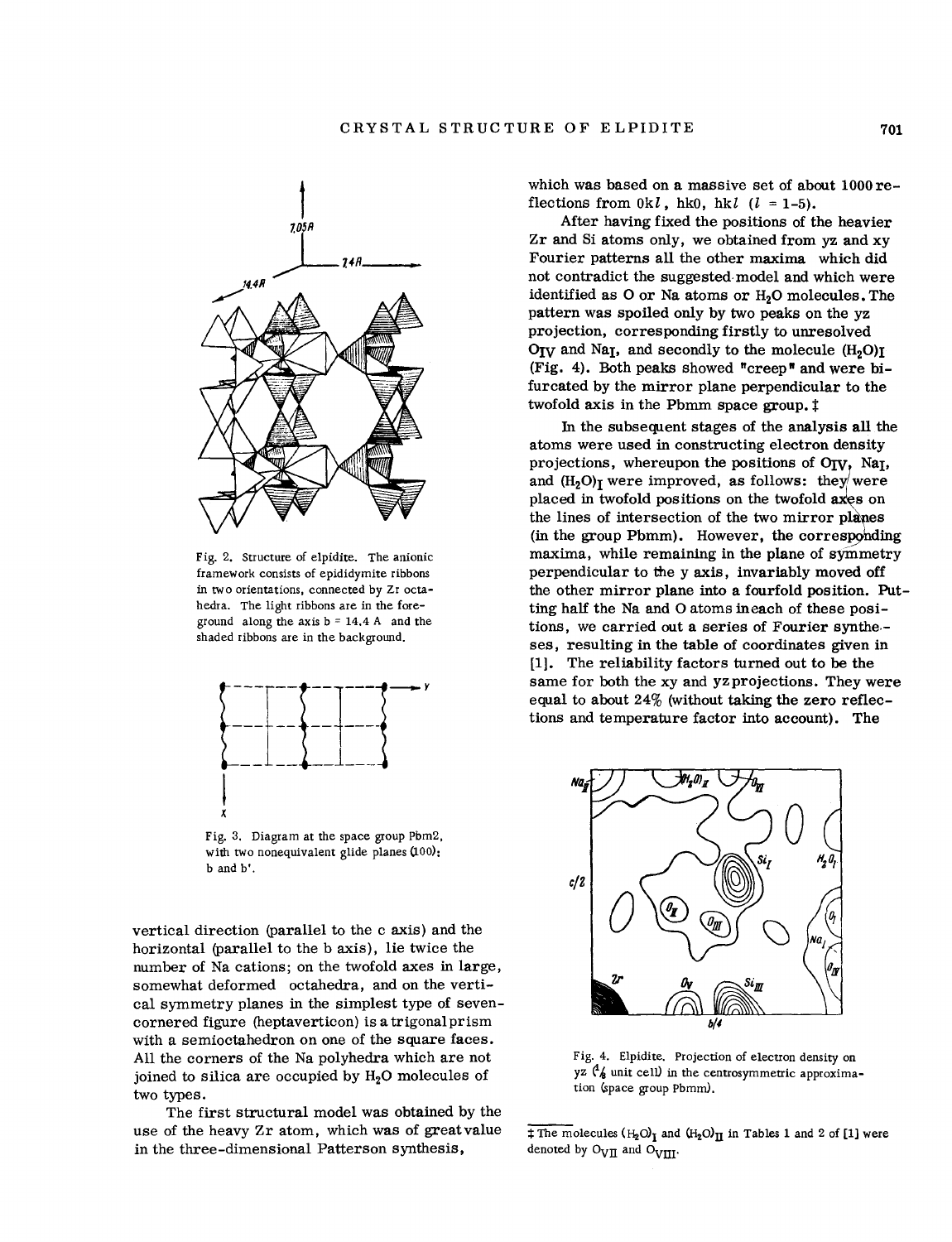

Fig. 2, Structure of elpidite. The anionic framework consists of epididymite ribbons in tWo orientations, connected by Zr octahedra, The light ribbons are in the foreground along the axis  $b = 14.4$  A and the shaded ribbons are in the background.



Fig. 3. Diagram at the space group Pbm2, with two nonequivalent glide planes (100): b and b'.

vertical direction (parallel to the c axis) and the horizontal (parallel to the b axis), lie twice the number of Na cations; on the twofold axes in large, somewhat deformed octahedra, and on the vertical symmetry planes in the simplest type of sevencornered figure (heptaverticon) is a trigonal prism with a semioctahedron on one of the square faces. All the corners of the Na polyhedra which are not joined to silica are occupied by  $H<sub>2</sub>O$  molecules of two types.

The first structural model was obtained by the use of the heavy Zr atom, which was of great value in the three-dimensional Patterson synthesis,

which was based on a massive set of about 1000 reflections from  $0k$ ,  $h$ k $0$ ,  $h$ k $l$  ( $l = 1-5$ ).

After having fixed the positions of the heavier Zr and Si atoms only, we obtained from yz and xy Fourier patterns all the other maxima which did not contradict the suggested. model and which were identified as O or Na atoms or H<sub>2</sub>O molecules. The pattern was spoiled only by two peaks on the yz projection, corresponding firstly to unresolved  $O_{\text{IV}}$  and Na<sub>I</sub>, and secondly to the molecule  $(H_2O)$ <sup>I</sup> (Fig. 4). Both peaks showed "creep" and were bifurcated by the mirror plane perpendicular to the twofold axis in the Pbmm space group.  $\ddagger$ 

In the subsequent stages of the analysis all the atoms were used in constructing electron density projections, whereupon the positions of OIV, Na<sub>I</sub>, and  $(H_2O)_T$  were improved, as follows: they were placed in twofold positions on the twofold axes on the lines of intersection of the two mirror planes<br>(in the group Pbmm). However, the corresponding<br>maxima, while paraining is the plane of gramature the lines of intersection of the two mirror planes maxima, while remaining in the plane of symmetry perpendicular to the y axis, invariably moved off the other mirror plane into a fourfold position. Putting half the Na and 0 atoms ineach of these positions, we carried out a series of Fourier synthe. ses, resulting in the table of coordinates given in [1]. The reliability factors turned out to be the same for both the xy and yz projections. They were equal to about 24% (without taking the zero reflections and temperature factor into account). The



Fig. 4. Elpidite. Projection of electron density on yz  $\binom{4}{6}$  unit cell) in the centrosymmetric approximation (space group Pbmm).

 $\pm$  The molecules ( $H_2O$ )<sub>I</sub> and  $(H_2O)$ <sub>II</sub> in Tables 1 and 2 of [1] were denoted by  $O_{\text{VII}}$  and  $O_{\text{VIII}}$ .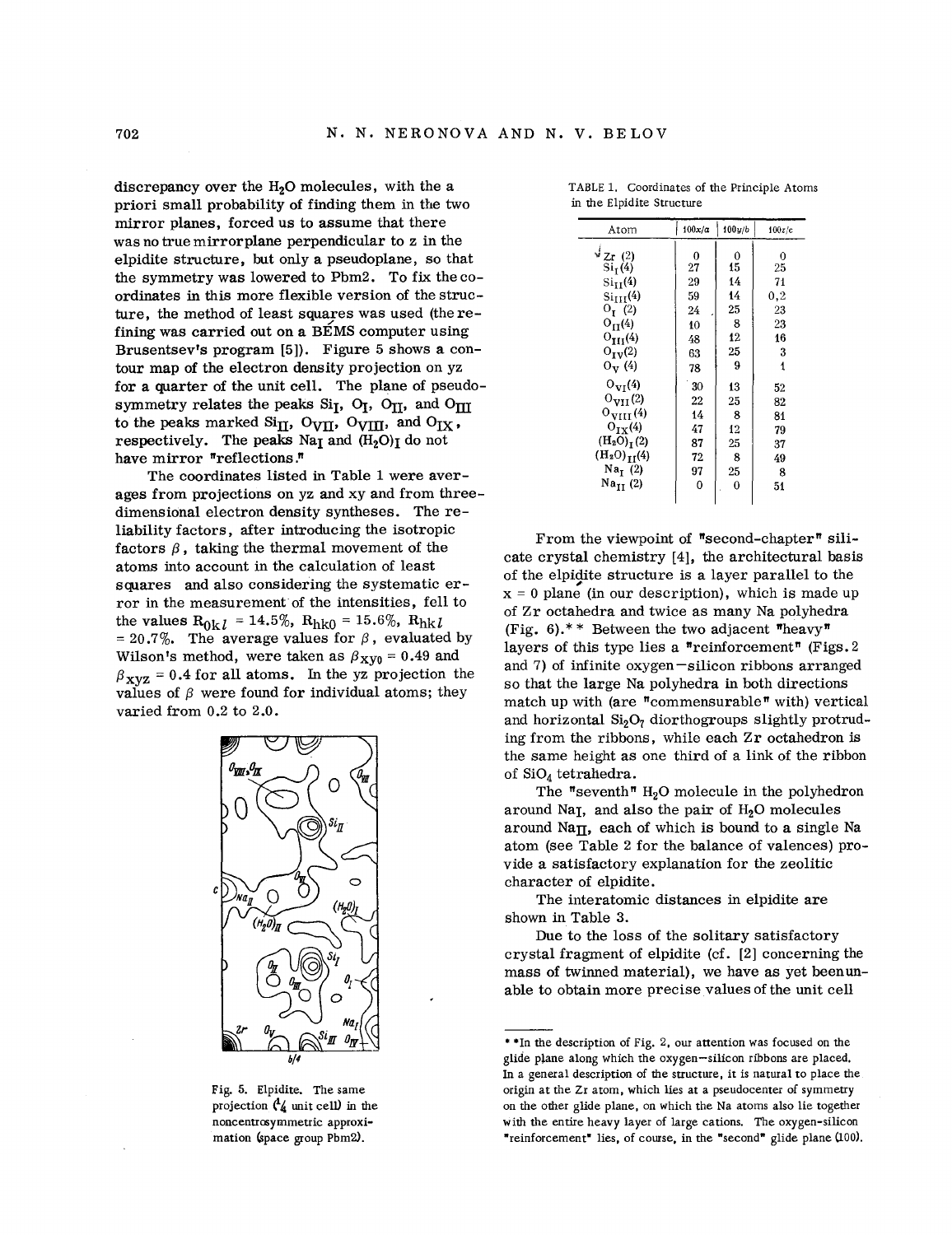discrepancy over the  $H<sub>2</sub>O$  molecules, with the a priori small probability of finding them in the two mirror planes, forced us to assume that there was no true mirrorplane perpendicular to z in the elpidite structure, but only a pseudoplane, so that the symmetry was lowered to Pbm2. To fix the coordinates in this more flexible version of the structure, the method of least squares was used (the refining was carried out on a BEMS computer using Brusentsev's program {5]). Figure 5 shows a contour map of the electron density projection on yz for a quarter of the unit cell. The plane of pseudosymmetry relates the peaks  $Si<sub>I</sub>$ ,  $O<sub>I</sub>$ ,  $O<sub>II</sub>$ , and  $O<sub>III</sub>$ to the peaks marked Si<sub>II</sub>, O<sub>VII</sub>, O<sub>VIII</sub>, and O<sub>IX</sub>, respectively. The peaks Na<sub>I</sub> and  $(H_2O)$ <sub>I</sub> do not have mirror "reflections."

The coordinates listed in Table 1 were averages from projections on yz and xy and from threedimensional electron density syntheses. The reliability factors, after introducing the isotropic factors  $\beta$ , taking the thermal movement of the atoms into account in the calculation of least squares and also considering the systematic error in the measurement of the intensities, fell to the values  $R_{0k}$  = 14.5%,  $R_{h k0}$  = 15.6%,  $R_{h k}$ = 20.7%. The average values for  $\beta$ , evaluated by Wilson's method, were taken as  $\beta_{\text{XV0}} = 0.49$  and  $\beta_{\text{xyz}} = 0.4$  for all atoms. In the yz projection the values of  $\beta$  were found for individual atoms; they varied from 0.2 to 2.0.



Fig. 5. Elpidite. The same projection  $\mathcal{A}_4$  unit cell) in the noncentrosymmetric approximation (space group Pbm2).

| Atom                  | 100x/a  | 100y/b   | 100z/c   |  |  |
|-----------------------|---------|----------|----------|--|--|
| $\sqrt[d]{z}$ r (2)   |         |          |          |  |  |
| Si <sub>T</sub> (4)   | 0<br>27 | 0<br>15  | 0<br>25  |  |  |
| $\mathrm{Si_{II}(4)}$ | 29      | 14       | 71       |  |  |
| $\rm Si_{III}(4)$     | 59      | 14       | $_{0.2}$ |  |  |
| $O_{I}$ (2)           | 24      | 25       | 23       |  |  |
| $O_{II}(4)$           | 10      | 8        | 23       |  |  |
| $O_{III}(4)$          | 48      | 12       | 16       |  |  |
| $O_{IV}(2)$           | 63      | 25       | 3        |  |  |
| $O_V(4)$              | 78      | 9        | 1        |  |  |
| $O_{VI}(4)$           | 30      | 13       | 52       |  |  |
| $O_{\text{VII}}(2)$   | 22      | 25       | 82       |  |  |
| $0_{VIII}(4)$         | 14      | 8        | 81       |  |  |
| $O_{TX}(4)$           | 47      | 12       | 79       |  |  |
| $(H_2O)T(2)$          | 87      | 25       | 37       |  |  |
| $(H_2O)_{11}(4)$      | 72      | 8        | 49       |  |  |
| Na <sub>T</sub> (2)   | 97      | 25       | 8        |  |  |
| $Na_{II}$ (2)         | 0       | $\bf{0}$ | 51       |  |  |

TABLE 1. Coordinates of the Principle Atoms in the Elpidite Structure

From the viewpoint of "second-chapter" silicate crystal chemistry [4], the architectural basis of the elpidite structure is a layer parallel to the  $x = 0$  plane (in our description), which is made up of Zr octahedra and twice as many Na polyhedra (Fig. 6).<sup>\*\*</sup> Between the two adjacent "heavy" layers of this type lies a "reinforcement" (Figs. 2) and 7) of infinite oxygen-silicon ribbons arranged so that the large Na polyhedra in both directions match up with (are "commensurable" with) vertical and horizontal  $Si<sub>2</sub>O<sub>7</sub>$  diorthogroups slightly protruding from the ribbons, while each Zr octahedron is the same height as one third of a link of the ribbon of Si04 tetrahedra.

The "seventh"  $H_2O$  molecule in the polyhedron around Na<sub>I</sub>, and also the pair of H<sub>2</sub>O molecules around Na $\Pi$ , each of which is bound to a single Na atom (see Table 2 for the balance of valences) provide a satisfactory explanation for the zeolitic character of elpidite.

The interatomic distances in elpidite are shown in Table 3.

Due to the loss of the solitary satisfactory crystal fragment of elpidite (cf. [2] concerning the mass of twinned material), we have as yet been unable to obtain more precise values of the unit cell

<sup>\*\*</sup>In the description of Fig. 2, our attention was focused on the glide pJane along which the oxygen-silicon ribbons are placed. In a general description of the structure, it is natural to place the origin at the Zr atom, which lies at a pseudocenter of symmetry on the other glide plane, on which the Na atoms also lie together with the entire heavy layer of large cations. The oxygen-silicon "reinforcement" lies, of course, in the "second" glide plane (100).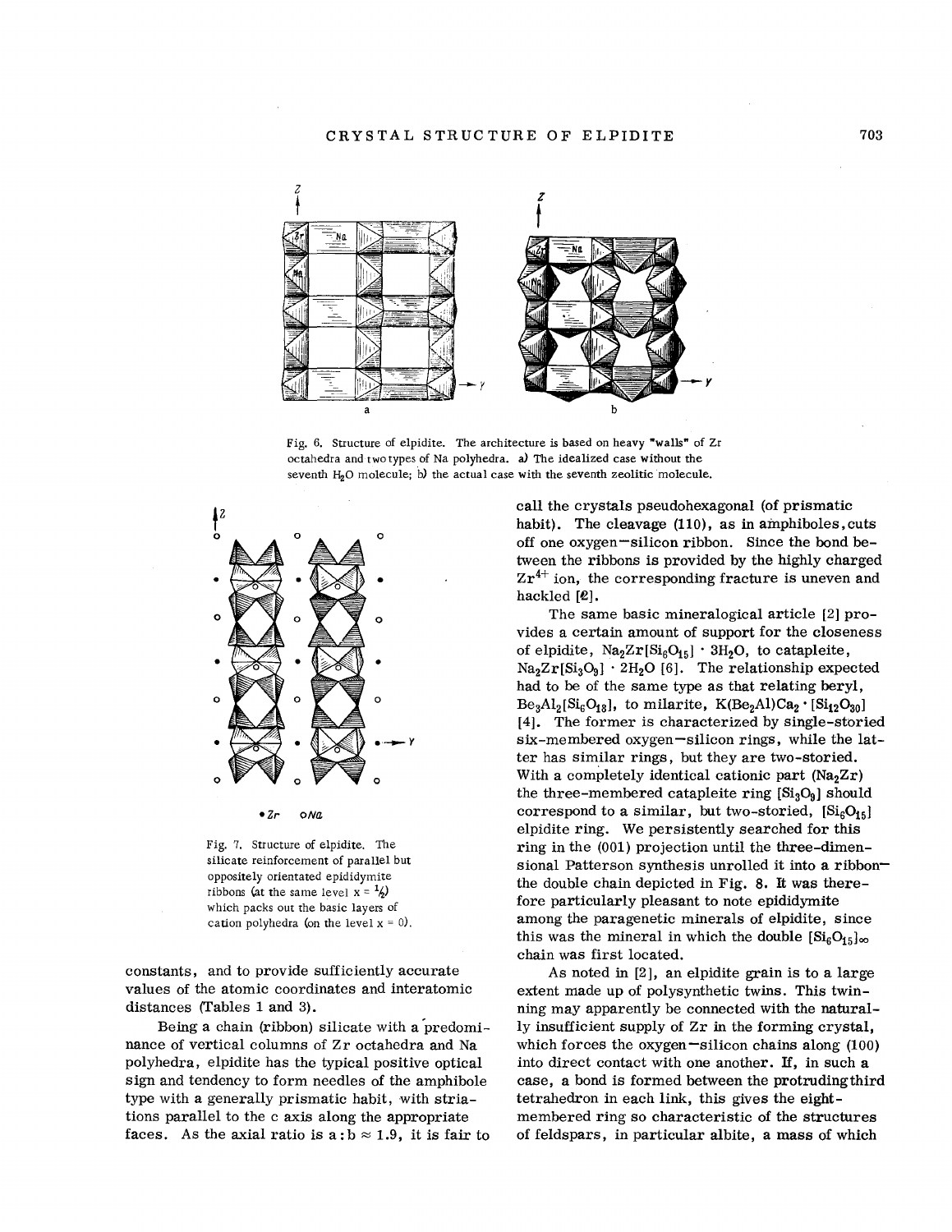

Fig. 6. Structure of elpidite. The architecture is based on heavy "walls" of Zr octahedra and two types of Na polyhedra. a) The idealized case without the seventh  $H_2O$  molecule; b) the actual case with the seventh zeolitic molecule.



Fig. 7. Structure of elpidite. The silicate reinforcement of parallel but oppositely orientated epididymite ribbons (at the same level  $x = \frac{1}{2}$ ) which packs out the basic layers of cation polyhedra (on the level  $x = 0$ ).

constants, and to provide sufficiently accurate values of the atomic coordinates and interatomic distances (Tables 1 and 3).

Being a chain (ribbon) silicate with a 'predominance of vertical columns of Zr octahedra and Na polyhedra, elpidite has the typical positive optical sign and tendency to form needles of the amphibole type with a generally prismatic habit, with striations parallel to the c axis along the appropriate faces. As the axial ratio is a:  $b \approx 1.9$ , it is fair to call the crystals pseudohexagonal (of prismatic habit). The cleavage (110), as in amphiboles, cuts off one oxygen silicon ribbon. Since the bond between the ribbons is provided by the highly charged  $Zr^{4+}$  ion, the corresponding fracture is uneven and hackled *[e].*

The same basic mineralogical article [2] provides a certain amount of support for the closeness of elpidite,  $Na<sub>2</sub>Zr[Si<sub>6</sub>O<sub>15</sub>] \cdot 3H<sub>2</sub>O$ , to catapleite,  $Na<sub>2</sub>Zr[Si<sub>3</sub>O<sub>9</sub>]$   $\cdot$  2H<sub>2</sub>O [6]. The relationship expected had to be of the same type as that relating beryl,  $Be_3Al_2[Si_6O_{18}]$ , to milarite,  $K(Be_2Al)Ca_2 \cdot [Si_{12}O_{30}]$ [4]. The former is characterized by single-storied six-membered oxygen-silicon rings, while the latter has similar rings, but they are two-storied. With a completely identical cationic part  $(Na<sub>2</sub>Zr)$ the three-membered catapleite ring  $[Si_3O_9]$  should correspond to a similar, but two-storied,  $[Si_6O_{15}]$ elpidite ring. We persistently searched for this ring in the (001) projection until the three-dimensional Patterson synthesis unrolled it into a ribbonthe double chain depicted in Fig. 8. It was therefore particularly pleasant to note epididymite among the paragenetic minerals of elpidite, since this was the mineral in which the double  $[Si<sub>6</sub>O<sub>15</sub>]_{\infty}$ chain was first located.

As noted in [2], an elpidite grain is to a large extent made up of polysynthetic twins. This twinning may apparently be connected with the naturally insufficient supply of Zr in the forming crystal, which forces the oxygen  $\text{-silicon chains along}$  (100) into direct contact with one another. If, in such a case, a bond is formed between the protruding third tetrahedron in each link, this gives the eightmembered ring so characteristic of the structures of feldspars, in particular albite, a mass of which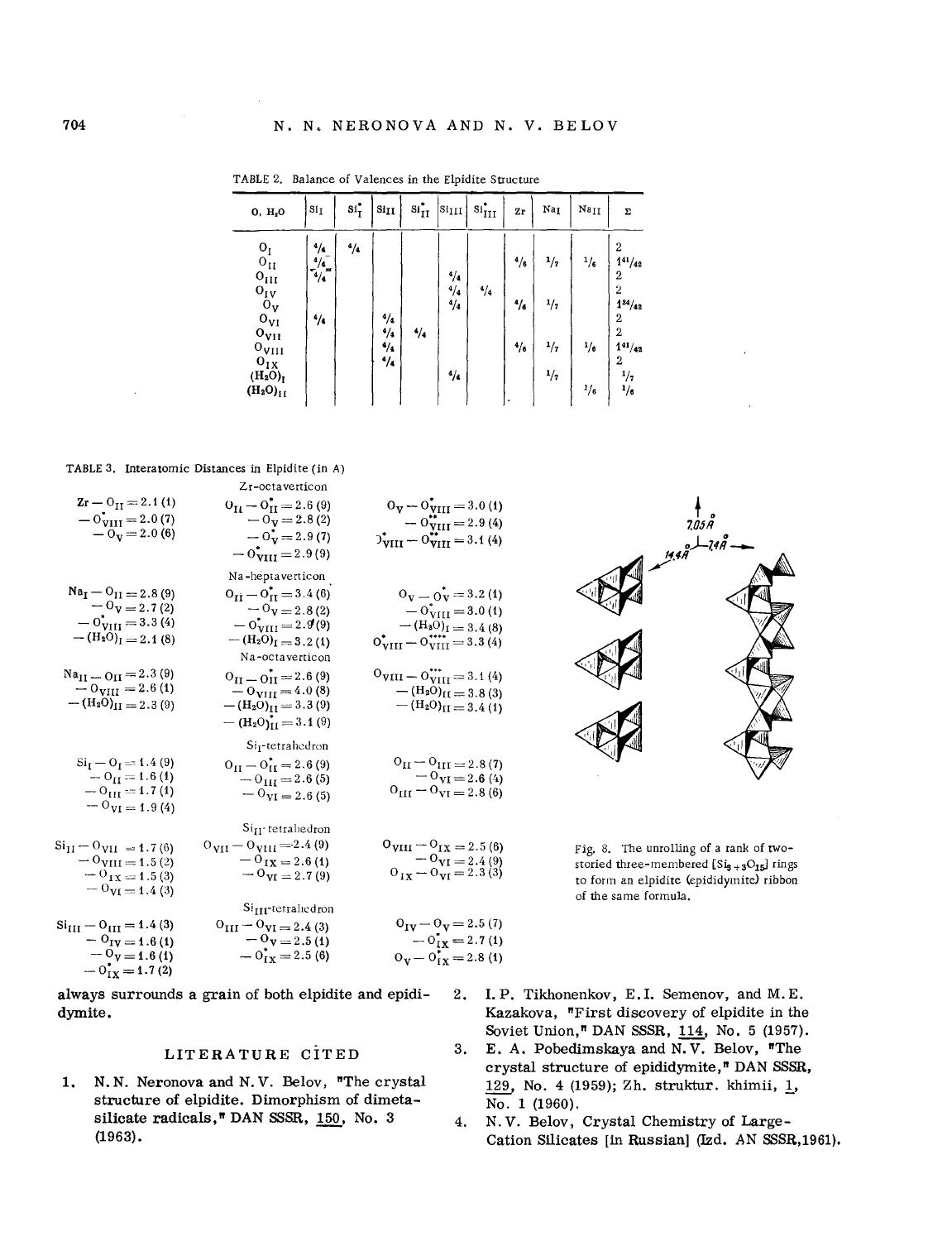| 0, H <sub>2</sub> 0                                                                                                                                                             | Si <sub>I</sub>                                       | $st^{\bullet}_{I}$ | $\rm \bf Si_{II}$                    | $\sin^2_{II}$ | $ \text{sin} $                           | $\sin^*_{\text{III}}$ | $\mathbf{Z}\mathbf{r}$           | Na <sub>I</sub>               | $_{\rm Na_{II}}$             | Σ                                                                                                                                                  |
|---------------------------------------------------------------------------------------------------------------------------------------------------------------------------------|-------------------------------------------------------|--------------------|--------------------------------------|---------------|------------------------------------------|-----------------------|----------------------------------|-------------------------------|------------------------------|----------------------------------------------------------------------------------------------------------------------------------------------------|
| $O_I$<br>$0_{II}$<br>$O_{III}$<br>$O_{IV}$<br>$\ddot{\mathbf{o}}_{\mathbf{v}}$<br>$O_{VI}$<br>$o_{VII}$<br>$o_{\rm VIII}$<br>$O_{I\overline{X}}$<br>$(H_2O)_I$<br>$(H_2O)_{II}$ | $^{4}/_{4}$<br>4/4<br>$\frac{1}{4}$ /4<br>$^{4}/_{4}$ | 4/4                | 4/4<br>$4/4$<br>$4/4$<br>$^{4}/_{4}$ | $^{4}/_{4}$   | 4/4<br>4/4<br>$^{4}/_{4}$<br>$^{4}/_{4}$ | $^{4}/_{4}$           | $4/3$<br>$\gamma_{\rm s}$<br>4/6 | 1/7<br>1/7<br>$^{1/7}$<br>1/7 | $^{1/6}$<br>1/6<br>$^{1}/_6$ | $\overline{2}$<br>$1^{41}/_{42}$<br>$\overline{2}$<br>2<br>$1^{34}/_{42}$<br>$\overline{2}$<br>$\overline{2}$<br>$1^{41}/_{42}$<br>2<br>1/7<br>1/6 |

TABLE 2. Balance of Valences in the Elpidite Structure

TABLE 3. Interatomic Distances in Elpidite (in A)

| $0_{\text{V}} - 0_{\text{VIII}}^{*} = 3.0$ (1)<br>$-0^{**}_{VIII} = 2.9(4)$                                                                                            | Zr-octaverticon<br>$O_{II} - O_{II}^* = 2.6(9)$<br>$-0y = 2.8(2)$                                                                          | $Zr - 0_{II} = 2.1(1)$<br>$-0VIII = 2.0(7)$                                                                                |
|------------------------------------------------------------------------------------------------------------------------------------------------------------------------|--------------------------------------------------------------------------------------------------------------------------------------------|----------------------------------------------------------------------------------------------------------------------------|
| $D_{\text{VIII}}^{\bullet} - D_{\text{VIII}}^{\bullet\bullet} = 3.1(4)$                                                                                                | $-0^{\bullet}_{V} = 2.9(7)$<br>$-0*VIII = 2.9(9)$<br>Na-heptaverticon                                                                      | $-0_V = 2.0(6)$                                                                                                            |
| $0_V = 0_V = 3.2(1)$<br>$-0^*_{\rm VIII}$ = 3.0 (1)<br>$- (H_2O)_I = 3.4(8)$<br>$0^{\bullet}_{\rm VIII} - 0^{\bullet\bullet\bullet\bullet\bullet}_{\rm VIII} = 3.3(4)$ | $O_{II} - O_{II}^* = 3.4(6)$<br>$-0$ <sub>V</sub> = 2.8(2)<br>$-0^{\dagger}_{\rm VIII}$ = 2.9(9)<br>$-(H_2O)I = 3.2(1)$<br>Na-octaverticon | $Na_{I} - O_{II} = 2.8(9)$<br>$-0$ <sub>V</sub> = 2.7(2)<br>$-0$ <sub>VIII</sub> $=$ 3.3 (4)<br>$-(H_2O)I = 2.1(8)$        |
| $0_{VIII} - 0_{VIII}^{***} = 3.1(4)$<br>$-$ (H <sub>2</sub> O) <sub>II</sub> = 3.8 (3)<br>$-(\rm{H}_2\rm{O})_{II} = 3.4(1)$                                            | $O_{II} = O_{II} = 2.6(9)$<br>$-$ O <sub>VIII</sub> = 4.0 (8)<br>$-(H_2O)_{II} = 3.3(9)$<br>$-(H_2O)_{II} = 3.1(9)$                        | $Na_{II} = O_{II} = 2.3(9)$<br>$-0_{VIII} = 2.6(1)$<br>$-(H_2O)_{II} = 2.3(9)$                                             |
| $O_{II} - O_{III} = 2.8(7)$<br>$-0$ <sub>VI</sub> = 2.6 (4)<br>$0_{\text{III}} - 0_{\text{VI}} = 2.8(6)$                                                               | Si <sub>I</sub> -tetrahedron<br>$O_{II} - O_{II}^* = 2.6(9)$<br>$-0_{\text{III}} = 2.6(5)$<br>$ \sigma_{VI} = 2.6(5)$                      | $SiI - OI = 1.4(9)$<br>$-0_{II} = 1.6(1)$<br>$-0_{\text{III}} = 1.7(1)$<br>$-\overline{\mathrm{O}}_{\mathrm{VI}} = 1.9(4)$ |
| $0_{VIII} - 0_{IX} = 2.5(6)$<br>$-9\overline{v_1} = 2.4(9)$<br>$0_{IX} - 0_{VI} = 2.3(3)$                                                                              | Si <sub>II</sub> -tetrahedron<br>$0_{VII} - 0_{VIII} = 2.4(9)$<br>$-$ O <sub>IX</sub> = 2.6(1)<br>$-9_{VI} = 2.7(9)$                       | $\rm Si_{II} - O_{VII} = 1.7(6)$<br>$-$ O <sub>VIII</sub> = 1.5 (2)<br>$-0_{1X} = 1.5(3)$<br>$ 0_{VI} = 1.4(3)$            |
| $O_{IV} - O_{V} = 2.5(7)$<br>$-0_{\text{IX}}^{\bullet} = 2.7(1)$<br>$O_V - O_{IX}^* = 2.8(1)$                                                                          | Si <sub>III</sub> -tetrahedron<br>$O_{III} - O_{VI} = 2.4(3)$<br>$-0$ <sub>V</sub> = 2.5(1)<br>$-0_{IX}^* = 2.5(6)$                        | $Si_{\text{III}} - O_{\text{III}} = 1.4(3)$<br>$ 0_{IV} = 1.6(1)$<br>$-0V=1.6(1)$<br>$-0_{IX}^{\bullet} = 1.7(2)$          |

always surrounds a grain of both elpidite and epididymite.

LITERATURE CITED

N. N. Neronova and N. V. Belov, "The crystal  $1.$ structure of elpidite. Dimorphism of dimetasilicate radicals," DAN SSSR, 150, No. 3  $(1963)$ .



Fig. 8. The unrolling of a rank of twostoried three-membered  $[Si_{9+3}O_{15}]$  rings to form an elpidite (epididymite) ribbon of the same formula.

- 2. I.P. Tikhonenkov, E.I. Semenov, and M.E. Kazakova, "First discovery of elpidite in the Soviet Union," DAN SSSR, 114, No. 5 (1957).
- E. A. Pobedimskaya and N.V. Belov, "The 3. crystal structure of epididymite," DAN SSSR, 129, No. 4 (1959); Zh. struktur. khimii, 1, No. 1 (1960).
- N.V. Belov, Crystal Chemistry of Large-4. Cation Silicates [in Russian] (Izd. AN SSSR, 1961).